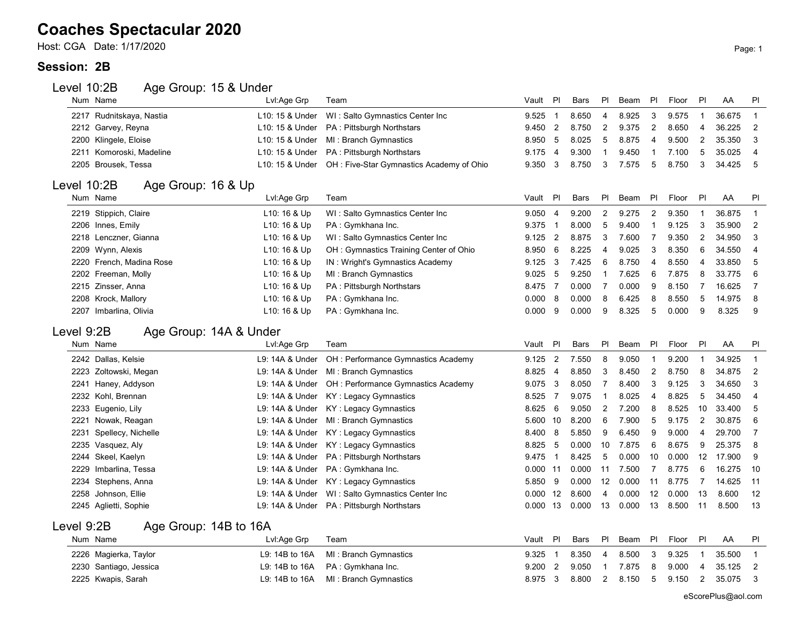### **Coaches Spectacular 2020**

Host: CGA Date: 1/17/2020 Page: 1

#### **Session: 2B**

#### Level 10:2B Age Group: 15 & Under

|             | Num Name                 | Lvl:Age Grp     | Team                                     | Vault      | PI                      | Bars        | <b>PI</b>      | Beam  | PI             | Floor | PI                      | AA     | PI             |
|-------------|--------------------------|-----------------|------------------------------------------|------------|-------------------------|-------------|----------------|-------|----------------|-------|-------------------------|--------|----------------|
|             | 2217 Rudnitskaya, Nastia | L10: 15 & Under | WI: Salto Gymnastics Center Inc          | 9.525      | $\overline{1}$          | 8.650       | 4              | 8.925 | 3              | 9.575 | $\mathbf{1}$            | 36.675 |                |
|             | 2212 Garvey, Reyna       | L10: 15 & Under | PA: Pittsburgh Northstars                | 9.450      | $\overline{2}$          | 8.750       | $\overline{2}$ | 9.375 | $\overline{2}$ | 8.650 | $\overline{4}$          | 36.225 | $\overline{2}$ |
|             | 2200 Klingele, Eloise    | L10: 15 & Under | MI: Branch Gymnastics                    | 8.950      | 5                       | 8.025       | 5              | 8.875 | $\overline{4}$ | 9.500 | $\overline{2}$          | 35.350 | 3              |
|             | 2211 Komoroski, Madeline | L10: 15 & Under | PA: Pittsburgh Northstars                | 9.175      | 4                       | 9.300       | $\mathbf{1}$   | 9.450 | -1             | 7.100 | 5                       | 35.025 | 4              |
|             | 2205 Brousek, Tessa      | L10: 15 & Under | OH: Five-Star Gymnastics Academy of Ohio | 9.350      | 3                       | 8.750       | 3              | 7.575 | 5              | 8.750 | 3                       | 34.425 | 5              |
| Level 10:2B | Age Group: 16 & Up       |                 |                                          |            |                         |             |                |       |                |       |                         |        |                |
|             | Num Name                 | Lvl:Age Grp     | Team                                     | Vault      | PI                      | Bars        | PI             | Beam  | PI             | Floor | PI                      | AA     | PI             |
|             | 2219 Stippich, Claire    | L10: 16 & Up    | WI: Salto Gymnastics Center Inc          | 9.050      | $\overline{4}$          | 9.200       | $\overline{2}$ | 9.275 | $\overline{2}$ | 9.350 | $\mathbf{1}$            | 36.875 | 1              |
|             | 2206 Innes, Emily        | L10: 16 & Up    | PA: Gymkhana Inc.                        | 9.375      | $\overline{\mathbf{1}}$ | 8.000       | 5              | 9.400 | 1              | 9.125 | 3                       | 35.900 | $\overline{2}$ |
|             | 2218 Lenczner, Gianna    | L10: 16 & Up    | WI: Salto Gymnastics Center Inc          | 9.125      | $\overline{2}$          | 8.875       | 3              | 7.600 | $\overline{7}$ | 9.350 | 2                       | 34.950 | 3              |
|             | 2209 Wynn, Alexis        | L10: 16 & Up    | OH: Gymnastics Training Center of Ohio   | 8.950      | 6                       | 8.225       | 4              | 9.025 | 3              | 8.350 | 6                       | 34.550 | $\overline{4}$ |
|             | 2220 French, Madina Rose | L10: 16 & Up    | IN: Wright's Gymnastics Academy          | 9.125      | 3                       | 7.425       | 6              | 8.750 | 4              | 8.550 | $\overline{4}$          | 33.850 | 5              |
|             | 2202 Freeman, Molly      | L10: 16 & Up    | MI: Branch Gymnastics                    | 9.025      | -5                      | 9.250       | 1              | 7.625 | 6              | 7.875 | 8                       | 33.775 | 6              |
|             | 2215 Zinsser, Anna       | L10: 16 & Up    | PA: Pittsburgh Northstars                | 8.475      | $\overline{7}$          | 0.000       | $\overline{7}$ | 0.000 | 9              | 8.150 | $\overline{7}$          | 16.625 | 7              |
|             | 2208 Krock, Mallory      | L10: 16 & Up    | PA: Gymkhana Inc.                        | 0.000      | 8                       | 0.000       | 8              | 6.425 | 8              | 8.550 | 5                       | 14.975 | 8              |
|             | 2207 Imbarlina, Olivia   | L10: 16 & Up    | PA: Gymkhana Inc.                        | 0.000      | 9                       | 0.000       | 9              | 8.325 | 5              | 0.000 | 9                       | 8.325  | 9              |
| Level 9:2B  | Age Group: 14A & Under   |                 |                                          |            |                         |             |                |       |                |       |                         |        |                |
|             | Num Name                 | Lvl:Age Grp     | Team                                     | Vault      | PI                      | <b>Bars</b> | PI             | Beam  | P              | Floor | PI                      | AA     | PI             |
|             | 2242 Dallas, Kelsie      | L9: 14A & Under | OH : Performance Gymnastics Academy      | 9.125      | $\overline{2}$          | 7.550       | 8              | 9.050 | 1              | 9.200 | $\overline{\mathbf{1}}$ | 34.925 | $\mathbf 1$    |
|             | 2223 Zoltowski, Megan    | L9: 14A & Under | MI: Branch Gymnastics                    | 8.825      | $\overline{4}$          | 8.850       | 3              | 8.450 | $\overline{2}$ | 8.750 | 8                       | 34.875 | $\overline{2}$ |
|             | 2241 Haney, Addyson      | L9: 14A & Under | OH : Performance Gymnastics Academy      | 9.075      | 3                       | 8.050       | $\overline{7}$ | 8.400 | 3              | 9.125 | $\sqrt{3}$              | 34.650 | 3              |
|             | 2232 Kohl, Brennan       | L9: 14A & Under | KY: Legacy Gymnastics                    | 8.525      | 7                       | 9.075       | $\mathbf{1}$   | 8.025 | 4              | 8.825 | $\mathbf 5$             | 34.450 | 4              |
| 2233        | Eugenio, Lily            | L9: 14A & Under | KY: Legacy Gymnastics                    | 8.625      | 6                       | 9.050       | $\overline{2}$ | 7.200 | 8              | 8.525 | 10                      | 33.400 | 5              |
| 2221        | Nowak, Reagan            | L9: 14A & Under | MI: Branch Gymnastics                    | 5.600      | 10                      | 8.200       | 6              | 7.900 | 5              | 9.175 | 2                       | 30.875 | 6              |
| 2231        | Spellecy, Nichelle       | L9: 14A & Under | KY: Legacy Gymnastics                    | 8.400      | 8                       | 5.850       | 9              | 6.450 | 9              | 9.000 | $\overline{4}$          | 29.700 | 7              |
|             | 2235 Vasquez, Aly        | L9: 14A & Under | KY: Legacy Gymnastics                    | 8.825      | -5                      | 0.000       | 10             | 7.875 | 6              | 8.675 | 9                       | 25.375 | 8              |
|             | 2244 Skeel, Kaelyn       | L9: 14A & Under | PA: Pittsburgh Northstars                | 9.475      | $\overline{\mathbf{1}}$ | 8.425       | 5              | 0.000 | 10             | 0.000 | 12                      | 17.900 | 9              |
| 2229        | Imbarlina, Tessa         | L9: 14A & Under | PA: Gymkhana Inc.                        | $0.000$ 11 |                         | 0.000       | 11             | 7.500 | $\overline{7}$ | 8.775 | 6                       | 16.275 | 10             |
|             | 2234 Stephens, Anna      | L9: 14A & Under | <b>KY: Legacy Gymnastics</b>             | 5.850      | 9                       | 0.000       | 12             | 0.000 | 11             | 8.775 | $\overline{7}$          | 14.625 | 11             |
| 2258        | Johnson, Ellie           | L9: 14A & Under | WI: Salto Gymnastics Center Inc          | $0.000$ 12 |                         | 8.600       | 4              | 0.000 | 12             | 0.000 | 13                      | 8.600  | 12             |
|             | 2245 Aglietti, Sophie    | L9: 14A & Under | PA: Pittsburgh Northstars                | $0.000$ 13 |                         | 0.000       | 13             | 0.000 | 13             | 8.500 | 11                      | 8.500  | 13             |
| Level 9:2B  | Age Group: 14B to 16A    |                 |                                          |            |                         |             |                |       |                |       |                         |        |                |
|             | Num Name                 | Lvl:Age Grp     | Team                                     | Vault      | PI                      | Bars        | PI             | Beam  | PI             | Floor | PI                      | AA     | PI             |
|             |                          |                 |                                          |            | -1                      |             |                |       |                |       |                         |        | 1              |
|             | 2226 Magierka, Taylor    | L9: 14B to 16A  | MI: Branch Gymnastics                    | 9.325      |                         | 8.350       | 4              | 8.500 | 3              | 9.325 | -1                      | 35.500 |                |
| 2230        | Santiago, Jessica        | L9: 14B to 16A  | PA: Gymkhana Inc.                        | 9.200      | $\overline{2}$          | 9.050       | $\mathbf{1}$   | 7.875 | 8              | 9.000 | 4                       | 35.125 | $\overline{2}$ |
|             | 2225 Kwapis, Sarah       | L9: 14B to 16A  | MI: Branch Gymnastics                    | 8.975      | 3                       | 8.800       | 2              | 8.150 | 5              | 9.150 | $\overline{2}$          | 35.075 | 3              |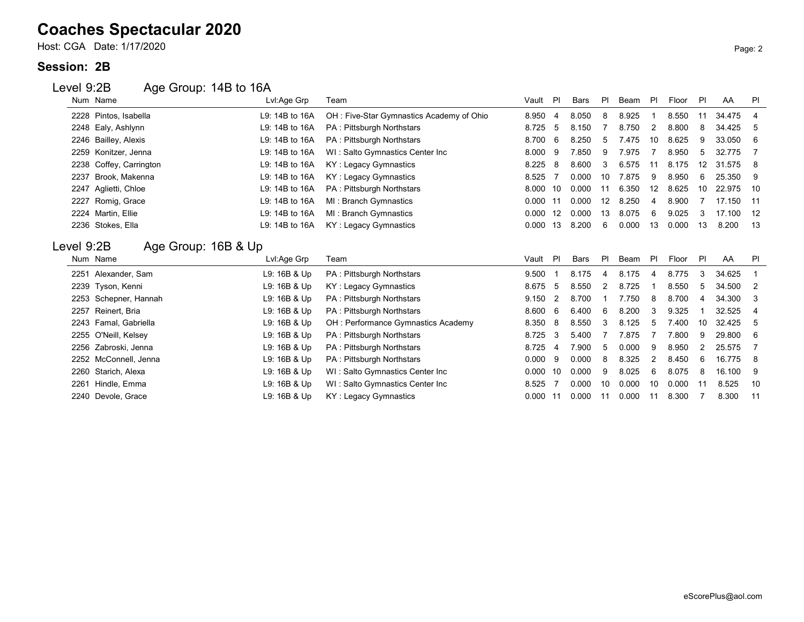## **Coaches Spectacular 2020**

Host: CGA Date: 1/17/2020 Page: 2

#### **Session: 2B**

#### Level 9:2B Age Group: 14B to 16A

|            | Num Name                        | Lvl:Age Grp    | Team                                     | Vault | -PI            | <b>Bars</b> | PI        | Beam  | P  | Floor | PI | AA     | PI             |
|------------|---------------------------------|----------------|------------------------------------------|-------|----------------|-------------|-----------|-------|----|-------|----|--------|----------------|
|            | 2228 Pintos, Isabella           | L9: 14B to 16A | OH: Five-Star Gymnastics Academy of Ohio | 8.950 | 4              | 8.050       | 8         | 8.925 |    | 8.550 | 11 | 34.475 | 4              |
|            | 2248 Ealy, Ashlynn              | L9: 14B to 16A | PA: Pittsburgh Northstars                | 8.725 | -5             | 8.150       |           | 8.750 | 2  | 8.800 | 8  | 34.425 | -5             |
|            | 2246 Bailley, Alexis            | L9: 14B to 16A | <b>PA: Pittsburgh Northstars</b>         | 8.700 | 6              | 8.250       | 5         | 7.475 | 10 | 8.625 | 9  | 33.050 | 6              |
| 2259       | Konitzer, Jenna                 | L9: 14B to 16A | WI: Salto Gymnastics Center Inc          | 8.000 | -9             | 7.850       | 9         | 7.975 | 7  | 8.950 | 5  | 32.775 |                |
| 2238       | Coffey, Carrington              | L9: 14B to 16A | KY: Legacy Gymnastics                    | 8.225 | 8              | 8.600       |           | 6.575 | 11 | 8.175 | 12 | 31.575 | -8             |
| 2237       | Brook, Makenna                  | L9: 14B to 16A | KY: Legacy Gymnastics                    | 8.525 |                | 0.000       | 10        | 7.875 | 9  | 8.950 | 6  | 25.350 | -9             |
| 2247       | Aglietti, Chloe                 | L9: 14B to 16A | PA: Pittsburgh Northstars                | 8.000 | 10             | 0.000       | 11        | 6.350 | 12 | 8.625 | 10 | 22.975 | 10             |
| 2227       | Romig, Grace                    | L9: 14B to 16A | MI: Branch Gymnastics                    | 0.000 | 11             | 0.000       | 12        | 8.250 | 4  | 8.900 |    | 17.150 | -11            |
|            | 2224 Martin, Ellie              | L9: 14B to 16A | MI: Branch Gymnastics                    | 0.000 | 12             | 0.000       | 13        | 8.075 | 6  | 9.025 | 3  | 17.100 | 12             |
|            | 2236 Stokes, Ella               | L9: 14B to 16A | KY: Legacy Gymnastics                    | 0.000 | 13             | 8.200       | 6         | 0.000 | 13 | 0.000 | 13 | 8.200  | 13             |
|            |                                 |                |                                          |       |                |             |           |       |    |       |    |        |                |
|            |                                 |                |                                          |       |                |             |           |       |    |       |    |        |                |
| Level 9:2B | Age Group: 16B & Up<br>Num Name | Lvl:Age Grp    | Team                                     | Vault | PI             | Bars        | <b>PI</b> | Beam  | PI | Floor | PI | AA     | PI             |
| 2251       | Alexander, Sam                  | L9: 16B & Up   | PA: Pittsburgh Northstars                | 9.500 |                | 8.175       | 4         | 8.175 | 4  | 8.775 | 3  | 34.625 |                |
| 2239       | Tyson, Kenni                    | L9: 16B & Up   | KY: Legacy Gymnastics                    | 8.675 | -5             | 8.550       |           | 8.725 |    | 8.550 | 5  | 34.500 | $\overline{2}$ |
| 2253       | Schepner, Hannah                | L9: 16B & Up   | <b>PA: Pittsburgh Northstars</b>         | 9.150 | $\overline{2}$ | 8.700       |           | 7.750 | 8  | 8.700 | 4  | 34.300 | 3              |
| 2257       | Reinert, Bria                   | L9: 16B & Up   | <b>PA: Pittsburgh Northstars</b>         | 8.600 | 6              | 6.400       | 6         | 8.200 | 3  | 9.325 |    | 32.525 | 4              |
| 2243       | Famal, Gabriella                | L9: 16B & Up   | OH: Performance Gymnastics Academy       | 8.350 | 8              | 8.550       |           | 8.125 | 5  | 7.400 | 10 | 32.425 | 5              |
| 2255       | O'Neill, Kelsey                 | L9: 16B & Up   | PA: Pittsburgh Northstars                | 8.725 | 3              | 5.400       |           | 7.875 |    | 7.800 | 9  | 29.800 | 6              |
| 2256       | Zabroski, Jenna                 | L9: 16B & Up   | PA: Pittsburgh Northstars                | 8.725 | 4              | 7.900       | 5         | 0.000 | 9  | 8.950 | 2  | 25.575 |                |
| 2252       | McConnell, Jenna                | L9: 16B & Up   | PA: Pittsburgh Northstars                | 0.000 | -9             | 0.000       | 8         | 8.325 | 2  | 8.450 | 6  | 16.775 | -8             |
| 2260       | Starich, Alexa                  | L9: 16B & Up   | WI: Salto Gymnastics Center Inc          | 0.000 | 10             | 0.000       | 9         | 8.025 | 6  | 8.075 | 8  | 16.100 | -9             |
| 2261       | Hindle, Emma                    | L9: 16B & Up   | WI: Salto Gymnastics Center Inc          | 8.525 |                | 0.000       | 10        | 0.000 | 10 | 0.000 | 11 | 8.525  | 10             |